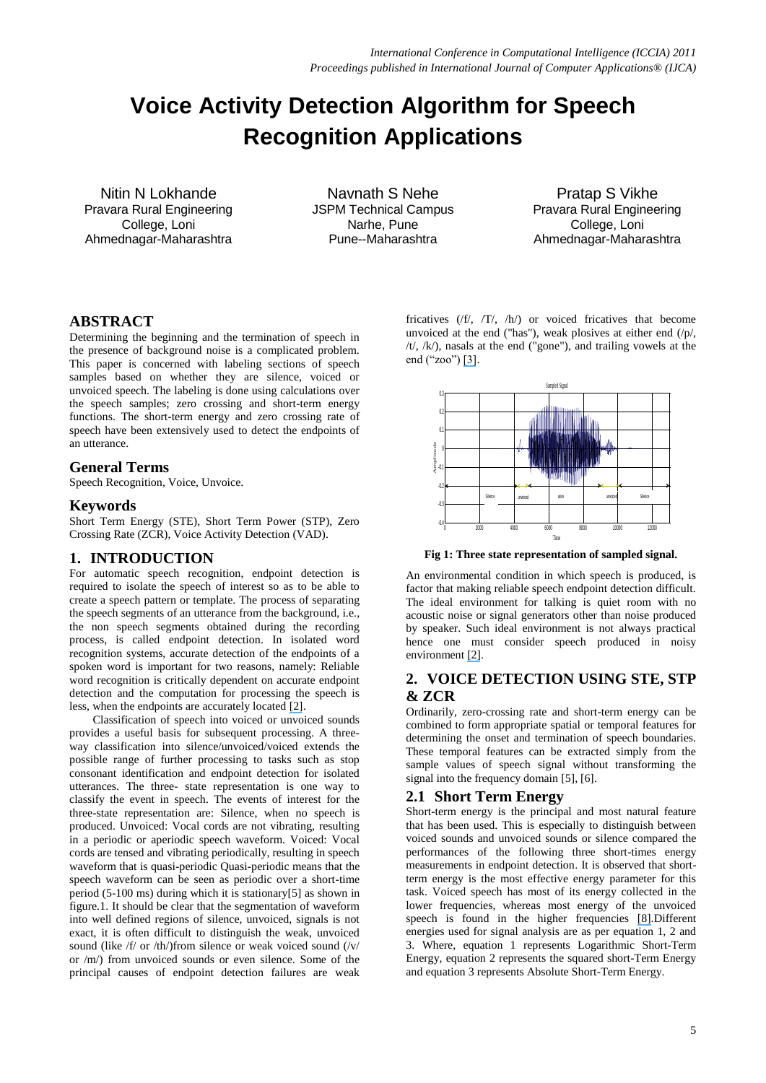# **Voice Activity Detection Algorithm for Speech Recognition Applications**

Nitin N Lokhande Pravara Rural Engineering College, Loni Ahmednagar-Maharashtra

Navnath S Nehe JSPM Technical Campus Narhe, Pune Pune--Maharashtra

Pratap S Vikhe Pravara Rural Engineering College, Loni Ahmednagar-Maharashtra

# **ABSTRACT**

Determining the beginning and the termination of speech in the presence of background noise is a complicated problem. This paper is concerned with labeling sections of speech samples based on whether they are silence, voiced or unvoiced speech. The labeling is done using calculations over the speech samples; zero crossing and short-term energy functions. The short-term energy and zero crossing rate of speech have been extensively used to detect the endpoints of an utterance.

## **General Terms**

Speech Recognition, Voice, Unvoice.

## **Keywords**

Short Term Energy (STE), Short Term Power (STP), Zero Crossing Rate (ZCR), Voice Activity Detection (VAD).

# **1. INTRODUCTION**

For automatic speech recognition, endpoint detection is required to isolate the speech of interest so as to be able to create a speech pattern or template. The process of separating the speech segments of an utterance from the background, i.e., the non speech segments obtained during the recording process, is called endpoint detection. In isolated word recognition systems, accurate detection of the endpoints of a spoken word is important for two reasons, namely: Reliable word recognition is critically dependent on accurate endpoint detection and the computation for processing the speech is less, when the endpoints are accurately located [2].

 Classification of speech into voiced or unvoiced sounds provides a useful basis for subsequent processing. A threeway classification into silence/unvoiced/voiced extends the possible range of further processing to tasks such as stop consonant identification and endpoint detection for isolated utterances. The three- state representation is one way to classify the event in speech. The events of interest for the three-state representation are: Silence, when no speech is produced. Unvoiced: Vocal cords are not vibrating, resulting in a periodic or aperiodic speech waveform. Voiced: Vocal cords are tensed and vibrating periodically, resulting in speech waveform that is quasi-periodic Quasi-periodic means that the speech waveform can be seen as periodic over a short-time period (5-100 ms) during which it is stationary[5] as shown in figure.1. It should be clear that the segmentation of waveform into well defined regions of silence, unvoiced, signals is not exact, it is often difficult to distinguish the weak, unvoiced sound (like /f/ or /th/)from silence or weak voiced sound (/v/ or /m/) from unvoiced sounds or even silence. Some of the principal causes of endpoint detection failures are weak

fricatives (/f/, /T/, /h/) or voiced fricatives that become unvoiced at the end ("has"), weak plosives at either end  $\frac{1}{p}$ ,  $/t/$ ,  $/k/$ ), nasals at the end ("gone"), and trailing vowels at the end ("zoo") [3].



**Fig 1: Three state representation of sampled signal.**

An environmental condition in which speech is produced, is factor that making reliable speech endpoint detection difficult. The ideal environment for talking is quiet room with no acoustic noise or signal generators other than noise produced by speaker. Such ideal environment is not always practical hence one must consider speech produced in noisy environment [2].

# **2. VOICE DETECTION USING STE, STP & ZCR**

Ordinarily, zero-crossing rate and short-term energy can be combined to form appropriate spatial or temporal features for determining the onset and termination of speech boundaries. These temporal features can be extracted simply from the sample values of speech signal without transforming the signal into the frequency domain [5], [6].

## **2.1 Short Term Energy**

Short-term energy is the principal and most natural feature that has been used. This is especially to distinguish between voiced sounds and unvoiced sounds or silence compared the performances of the following three short-times energy measurements in endpoint detection. It is observed that shortterm energy is the most effective energy parameter for this task. Voiced speech has most of its energy collected in the lower frequencies, whereas most energy of the unvoiced speech is found in the higher frequencies [8].Different energies used for signal analysis are as per equation 1, 2 and 3. Where, equation 1 represents Logarithmic Short-Term Energy, equation 2 represents the squared short-Term Energy and equation 3 represents Absolute Short-Term Energy.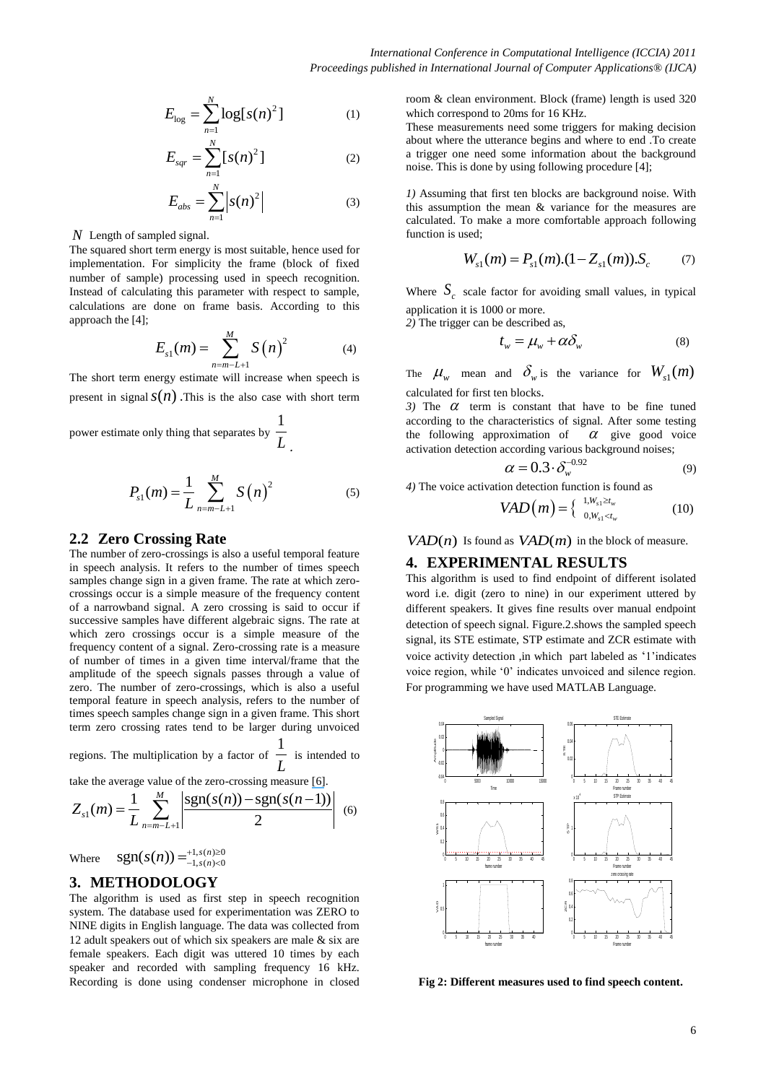$$
E_{\log} = \sum_{n=1}^{N} \log[s(n)^{2}]
$$
 (1)

$$
E_{\text{sqrt}} = \sum_{n=1}^{N} [s(n)^{2}]
$$
 (2)

$$
E_{abs} = \sum_{n=1}^{N} |s(n)|^{2}
$$
 (3)

*N* Length of sampled signal.

The squared short term energy is most suitable, hence used for implementation. For simplicity the frame (block of fixed number of sample) processing used in speech recognition. Instead of calculating this parameter with respect to sample, calculations are done on frame basis. According to this approach the [4];

$$
E_{s1}(m) = \sum_{n=m-L+1}^{M} S(n)^{2}
$$
 (4)

The short term energy estimate will increase when speech is present in signal  $s(n)$ . This is the also case with short term

power estimate only thing that separates by  $\frac{1}{1}$ *L .*

$$
P_{s1}(m) = \frac{1}{L} \sum_{n=m-L+1}^{M} S(n)^{2}
$$
 (5)

#### **2.2 Zero Crossing Rate**

The number of zero-crossings is also a useful temporal feature in speech analysis. It refers to the number of times speech samples change sign in a given frame. The rate at which zerocrossings occur is a simple measure of the frequency content of a narrowband signal. A zero crossing is said to occur if successive samples have different algebraic signs. The rate at which zero crossings occur is a simple measure of the frequency content of a signal. Zero-crossing rate is a measure of number of times in a given time interval/frame that the amplitude of the speech signals passes through a value of zero. The number of zero-crossings, which is also a useful temporal feature in speech analysis, refers to the number of times speech samples change sign in a given frame. This short term zero crossing rates tend to be larger during unvoiced

regions. The multiplication by a factor of  $\frac{1}{x}$  $\overline{L}$  is intended to

take the average value of the zero-crossing measure [6].  
\n
$$
Z_{s1}(m) = \frac{1}{L} \sum_{n=m-L+1}^{M} \left| \frac{\text{sgn}(s(n)) - \text{sgn}(s(n-1))}{2} \right| \tag{6}
$$

Where  $sgn(s(n)) = \frac{+1, s(n) \ge 0}{-1, s(n) < 0}$ 

#### **3. METHODOLOGY**

The algorithm is used as first step in speech recognition system. The database used for experimentation was ZERO to NINE digits in English language. The data was collected from 12 adult speakers out of which six speakers are male & six are female speakers. Each digit was uttered 10 times by each speaker and recorded with sampling frequency 16 kHz. Recording is done using condenser microphone in closed room & clean environment. Block (frame) length is used 320 which correspond to 20ms for 16 KHz.

These measurements need some triggers for making decision about where the utterance begins and where to end .To create a trigger one need some information about the background noise. This is done by using following procedure [4];

*1)* Assuming that first ten blocks are background noise. With this assumption the mean & variance for the measures are calculated. To make a more comfortable approach following function is used;

$$
W_{s1}(m) = P_{s1}(m) \cdot (1 - Z_{s1}(m)) \cdot S_c \tag{7}
$$

Where  $S_c$  scale factor for avoiding small values, in typical application it is 1000 or more.

*2)* The trigger can be described as,

$$
t_w = \mu_w + \alpha \delta_w \tag{8}
$$

The  $\mu_{w}$  mean and  $\delta_{w}$  is the variance for  $W_{s1}(m)$ calculated for first ten blocks.

3) The  $\alpha$  term is constant that have to be fine tuned according to the characteristics of signal. After some testing the following approximation of  $\alpha$  give good voice activation detection according various background noises;

$$
\alpha = 0.3 \cdot \delta_{w}^{-0.92} \tag{9}
$$

*4)* The voice activation detection function is found as

$$
VAD(m) = \begin{cases} 1, W_{s1} \ge t_w \\ 0, W_{s1} < t_w \end{cases} \tag{10}
$$

 $VAD(n)$  Is found as  $VAD(m)$  in the block of measure.

#### **4. EXPERIMENTAL RESULTS**

This algorithm is used to find endpoint of different isolated word i.e. digit (zero to nine) in our experiment uttered by different speakers. It gives fine results over manual endpoint detection of speech signal. Figure.2.shows the sampled speech signal, its STE estimate, STP estimate and ZCR estimate with voice activity detection ,in which part labeled as '1'indicates voice region, while '0' indicates unvoiced and silence region. For programming we have used MATLAB Language.



**Fig 2: Different measures used to find speech content.**